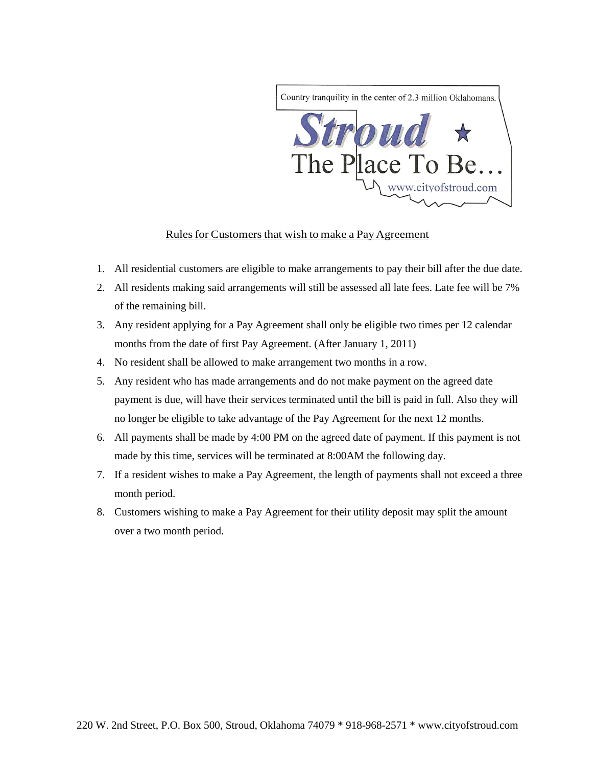

## Rules for Customers that wish to make a Pay Agreement

- 1. All residential customers are eligible to make arrangements to pay their bill after the due date.
- 2. All residents making said arrangements will still be assessed all late fees. Late fee will be 7% of the remaining bill.
- 3. Any resident applying for a Pay Agreement shall only be eligible two times per 12 calendar months from the date of first Pay Agreement. (After January 1, 2011)
- 4. No resident shall be allowed to make arrangement two months in a row.
- 5. Any resident who has made arrangements and do not make payment on the agreed date payment is due, will have their services terminated until the bill is paid in full. Also they will no longer be eligible to take advantage of the Pay Agreement for the next 12 months.
- 6. All payments shall be made by 4:00 PM on the agreed date of payment. If this payment is not made by this time, services will be terminated at 8:00AM the following day.
- 7. If a resident wishes to make a Pay Agreement, the length of payments shall not exceed a three month period.
- 8. Customers wishing to make a Pay Agreement for their utility deposit may split the amount over a two month period.